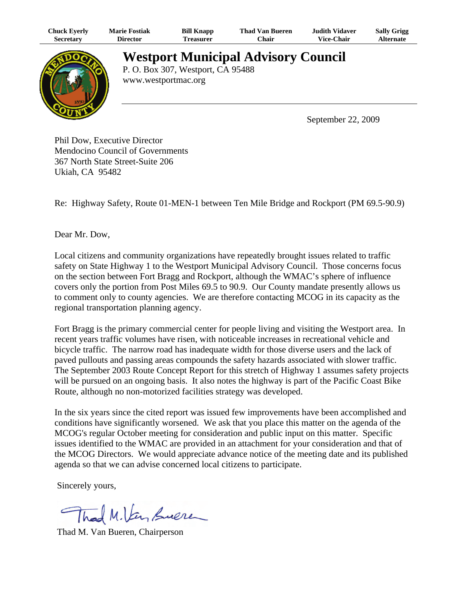| <b>Chuck Eyerly</b> | <b>Marie Fostiak</b> | <b>Bill Knapp</b>                 | <b>Thad Van Bueren</b>                     | Judith Vidaver | <b>Sally Grigg</b> |
|---------------------|----------------------|-----------------------------------|--------------------------------------------|----------------|--------------------|
| <b>Secretary</b>    | <b>Director</b>      | <b>Treasurer</b>                  | Chair                                      | Vice-Chair     | <b>Alternate</b>   |
|                     | www.westportmac.org  | P. O. Box 307, Westport, CA 95488 | <b>Westport Municipal Advisory Council</b> |                |                    |

September 22, 2009

Phil Dow, Executive Director Mendocino Council of Governments 367 North State Street-Suite 206 Ukiah, CA 95482

Re: Highway Safety, Route 01-MEN-1 between Ten Mile Bridge and Rockport (PM 69.5-90.9)

Dear Mr. Dow,

Local citizens and community organizations have repeatedly brought issues related to traffic safety on State Highway 1 to the Westport Municipal Advisory Council. Those concerns focus on the section between Fort Bragg and Rockport, although the WMAC's sphere of influence covers only the portion from Post Miles 69.5 to 90.9. Our County mandate presently allows us to comment only to county agencies. We are therefore contacting MCOG in its capacity as the regional transportation planning agency.

Fort Bragg is the primary commercial center for people living and visiting the Westport area. In recent years traffic volumes have risen, with noticeable increases in recreational vehicle and bicycle traffic. The narrow road has inadequate width for those diverse users and the lack of paved pullouts and passing areas compounds the safety hazards associated with slower traffic. The September 2003 Route Concept Report for this stretch of Highway 1 assumes safety projects will be pursued on an ongoing basis. It also notes the highway is part of the Pacific Coast Bike Route, although no non-motorized facilities strategy was developed.

In the six years since the cited report was issued few improvements have been accomplished and conditions have significantly worsened. We ask that you place this matter on the agenda of the MCOG's regular October meeting for consideration and public input on this matter. Specific issues identified to the WMAC are provided in an attachment for your consideration and that of the MCOG Directors. We would appreciate advance notice of the meeting date and its published agenda so that we can advise concerned local citizens to participate.

Sincerely yours,

Thad M.Van Sueren

Thad M. Van Bueren, Chairperson